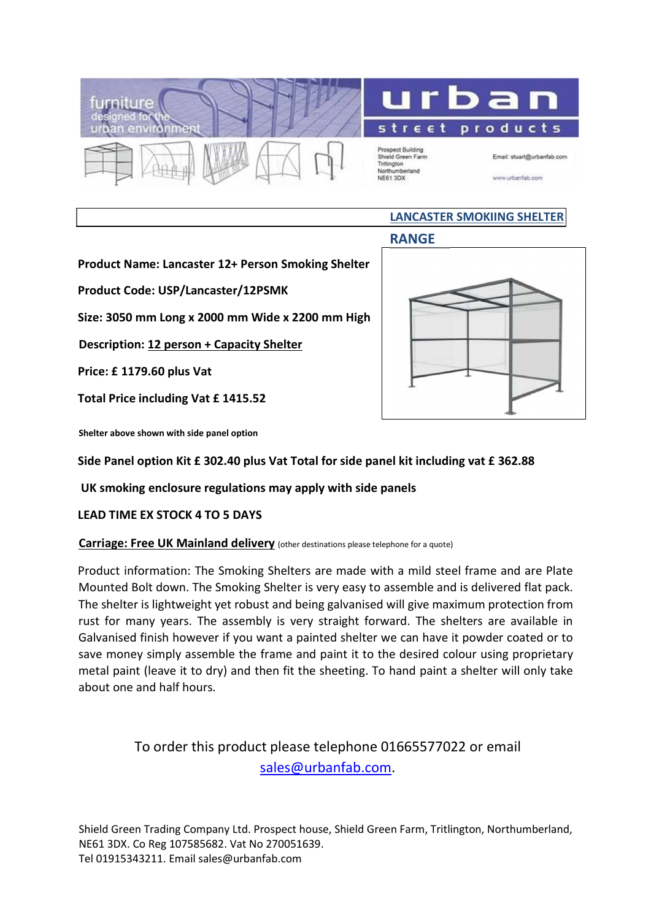



Prospect Building<br>Shield Green Farm Tritlington Nov19 mberland NE61 3DX

Email: stuart@urbanfab.com

www.urbanfab.com

## LANCASTER SMOKIING SHELTER

RANGE

Product Name: Lancaster 12+ Person Smoking Shelter

Product Code: USP/Lancaster/12PSMK

Size: 3050 mm Long x 2000 mm Wide x 2200 mm High

Description: 12 person + Capacity Shelter

Price: £ 1179.60 plus Vat

Total Price including Vat £ 1415.52



Shelter above shown with side panel option

Side Panel option Kit £ 302.40 plus Vat Total for side panel kit including vat £ 362.88

UK smoking enclosure regulations may apply with side panels

LEAD TIME EX STOCK 4 TO 5 DAYS

## Carriage: Free UK Mainland delivery (other destinations please telephone for a quote)

Product information: The Smoking Shelters are made with a mild steel frame and are Plate Mounted Bolt down. The Smoking Shelter is very easy to assemble and is delivered flat pack. The shelter is lightweight yet robust and being galvanised will give maximum protection from rust for many years. The assembly is very straight forward. The shelters are available in Galvanised finish however if you want a painted shelter we can have it powder coated or to save money simply assemble the frame and paint it to the desired colour using proprietary metal paint (leave it to dry) and then fit the sheeting. To hand paint a shelter will only take about one and half hours.

## To order this product please telephone 01665577022 or email sales@urbanfab.com.

Shield Green Trading Company Ltd. Prospect house, Shield Green Farm, Tritlington, Northumberland, NE61 3DX. Co Reg 107585682. Vat No 270051639. Tel 01915343211. Email sales@urbanfab.com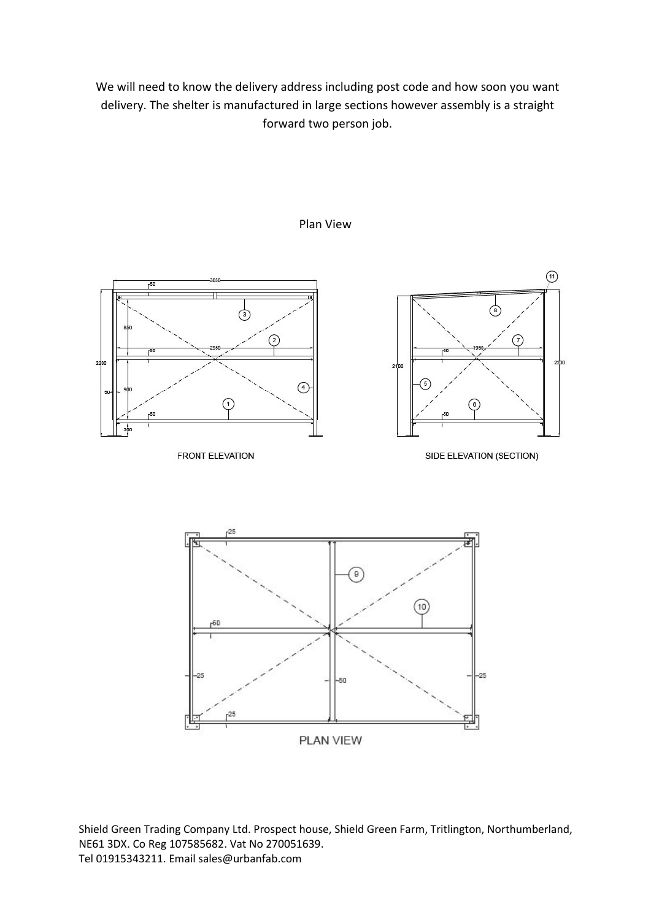We will need to know the delivery address including post code and how soon you want delivery. The shelter is manufactured in large sections however assembly is a straight forward two person job.



Plan View

PLAN VIEW

Shield Green Trading Company Ltd. Prospect house, Shield Green Farm, Tritlington, Northumberland, NE61 3DX. Co Reg 107585682. Vat No 270051639. Tel 01915343211. Email sales@urbanfab.com